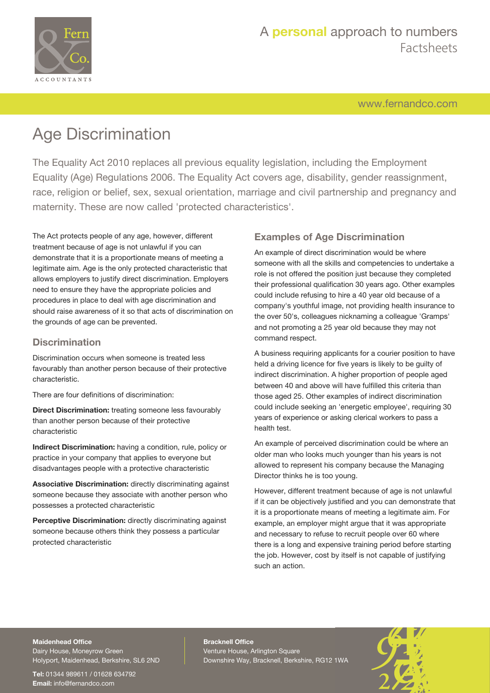

# A **personal** approach to numbers Factsheets

[www.fernandco.com](http://www.fernandco.com)

# Age Discrimination

The Equality Act 2010 replaces all previous equality legislation, including the Employment Equality (Age) Regulations 2006. The Equality Act covers age, disability, gender reassignment, race, religion or belief, sex, sexual orientation, marriage and civil partnership and pregnancy and maternity. These are now called 'protected characteristics'.

The Act protects people of any age, however, different treatment because of age is not unlawful if you can demonstrate that it is a proportionate means of meeting a legitimate aim. Age is the only protected characteristic that allows employers to justify direct discrimination. Employers need to ensure they have the appropriate policies and procedures in place to deal with age discrimination and should raise awareness of it so that acts of discrimination on the grounds of age can be prevented.

#### **Discrimination**

Discrimination occurs when someone is treated less favourably than another person because of their protective characteristic.

There are four definitions of discrimination:

**Direct Discrimination:** treating someone less favourably than another person because of their protective characteristic

**Indirect Discrimination:** having a condition, rule, policy or practice in your company that applies to everyone but disadvantages people with a protective characteristic

**Associative Discrimination:** directly discriminating against someone because they associate with another person who possesses a protected characteristic

**Perceptive Discrimination:** directly discriminating against someone because others think they possess a particular protected characteristic

### **Examples of Age Discrimination**

An example of direct discrimination would be where someone with all the skills and competencies to undertake a role is not offered the position just because they completed their professional qualification 30 years ago. Other examples could include refusing to hire a 40 year old because of a company's youthful image, not providing health insurance to the over 50's, colleagues nicknaming a colleague 'Gramps' and not promoting a 25 year old because they may not command respect.

A business requiring applicants for a courier position to have held a driving licence for five years is likely to be guilty of indirect discrimination. A higher proportion of people aged between 40 and above will have fulfilled this criteria than those aged 25. Other examples of indirect discrimination could include seeking an 'energetic employee', requiring 30 years of experience or asking clerical workers to pass a health test.

An example of perceived discrimination could be where an older man who looks much younger than his years is not allowed to represent his company because the Managing Director thinks he is too young.

However, different treatment because of age is not unlawful if it can be objectively justified and you can demonstrate that it is a proportionate means of meeting a legitimate aim. For example, an employer might argue that it was appropriate and necessary to refuse to recruit people over 60 where there is a long and expensive training period before starting the job. However, cost by itself is not capable of justifying such an action.

#### **Maidenhead Office**

Dairy House, Moneyrow Green Holyport, Maidenhead, Berkshire, SL6 2ND

**Tel:** 01344 989611 / 01628 634792 **Email:** [info@fernandco.com](mailto:info@fernandco.com)

**Bracknell Office** Venture House, Arlington Square Downshire Way, Bracknell, Berkshire, RG12 1WA

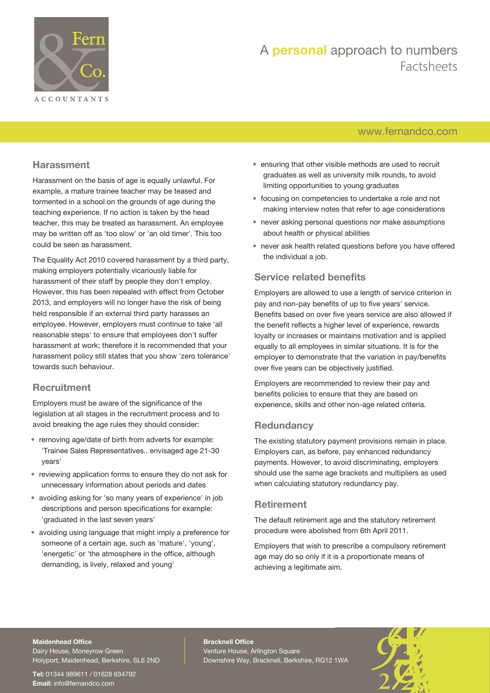

# A **personal** approach to numbers Factsheets

### [www.fernandco.com](http://www.fernandco.com)

#### **Harassment**

Harassment on the basis of age is equally unlawful. For example, a mature trainee teacher may be teased and tormented in a school on the grounds of age during the teaching experience. If no action is taken by the head teacher, this may be treated as harassment. An employee may be written off as 'too slow' or 'an old timer'. This too could be seen as harassment.

The Equality Act 2010 covered harassment by a third party, making employers potentially vicariously liable for harassment of their staff by people they don't employ. However, this has been repealed with effect from October 2013, and employers will no longer have the risk of being held responsible if an external third party harasses an employee. However, employers must continue to take 'all reasonable steps' to ensure that employees don't suffer harassment at work; therefore it is recommended that your harassment policy still states that you show 'zero tolerance' towards such behaviour.

#### **Recruitment**

Employers must be aware of the significance of the legislation at all stages in the recruitment process and to avoid breaking the age rules they should consider:

- removing age/date of birth from adverts for example: 'Trainee Sales Representatives.. envisaged age 21-30 years'
- reviewing application forms to ensure they do not ask for unnecessary information about periods and dates
- avoiding asking for 'so many years of experience' in job descriptions and person specifications for example: 'graduated in the last seven years'
- avoiding using language that might imply a preference for someone of a certain age, such as 'mature', 'young', 'energetic' or 'the atmosphere in the office, although demanding, is lively, relaxed and young'
- ensuring that other visible methods are used to recruit graduates as well as university milk rounds, to avoid limiting opportunities to young graduates
- focusing on competencies to undertake a role and not making interview notes that refer to age considerations
- never asking personal questions nor make assumptions about health or physical abilities
- never ask health related questions before you have offered the individual a job.

#### **Service related benefits**

Employers are allowed to use a length of service criterion in pay and non-pay benefits of up to five years' service. Benefits based on over five years service are also allowed if the benefit reflects a higher level of experience, rewards loyalty or increases or maintains motivation and is applied equally to all employees in similar situations. It is for the employer to demonstrate that the variation in pay/benefits over five years can be objectively justified.

Employers are recommended to review their pay and benefits policies to ensure that they are based on experience, skills and other non-age related criteria.

### **Redundancy**

The existing statutory payment provisions remain in place. Employers can, as before, pay enhanced redundancy payments. However, to avoid discriminating, employers should use the same age brackets and multipliers as used when calculating statutory redundancy pay.

#### **Retirement**

The default retirement age and the statutory retirement procedure were abolished from 6th April 2011.

Employers that wish to prescribe a compulsory retirement age may do so only if it is a proportionate means of achieving a legitimate aim.

#### **Maidenhead Office**

Dairy House, Moneyrow Green Holyport, Maidenhead, Berkshire, SL6 2ND

**Tel:** 01344 989611 / 01628 634792 **Email:** [info@fernandco.com](mailto:info@fernandco.com)

**Bracknell Office** Venture House, Arlington Square Downshire Way, Bracknell, Berkshire, RG12 1WA